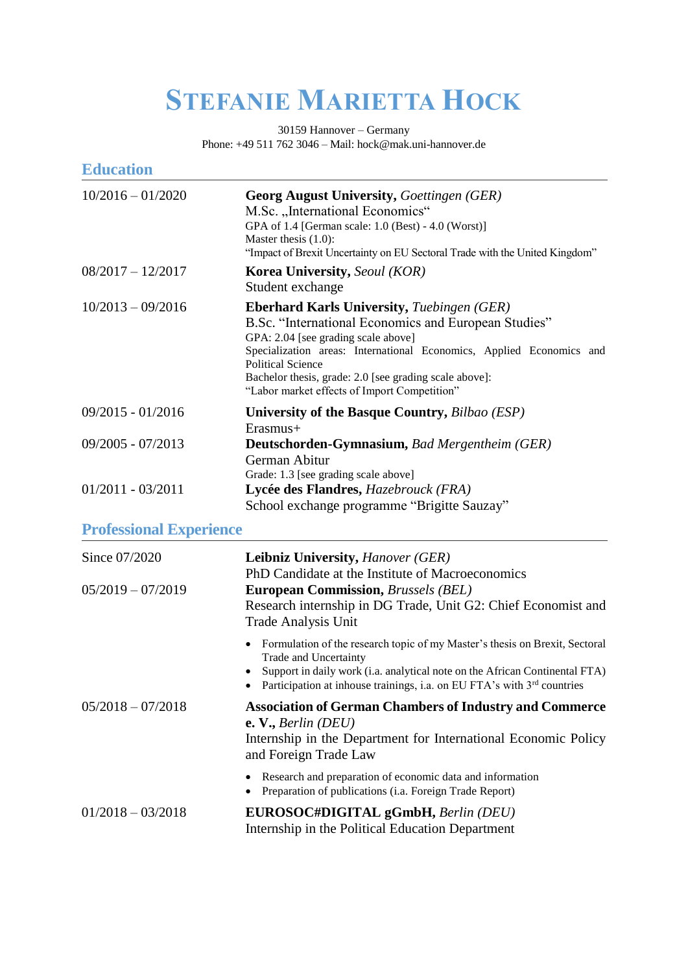## **STEFANIE MARIETTA HOCK**

30159 Hannover – Germany Phone: +49 511 762 3046 – Mail: hock@mak.uni-hannover.de

| <b>Education</b>               |                                                                                                                                                                                                                                                                                                                                                                |
|--------------------------------|----------------------------------------------------------------------------------------------------------------------------------------------------------------------------------------------------------------------------------------------------------------------------------------------------------------------------------------------------------------|
| $10/2016 - 01/2020$            | <b>Georg August University, Goettingen (GER)</b><br>M.Sc. "International Economics"<br>GPA of 1.4 [German scale: 1.0 (Best) - 4.0 (Worst)]<br>Master thesis $(1.0)$ :<br>"Impact of Brexit Uncertainty on EU Sectoral Trade with the United Kingdom"                                                                                                           |
| $08/2017 - 12/2017$            | <b>Korea University, Seoul (KOR)</b><br>Student exchange                                                                                                                                                                                                                                                                                                       |
| $10/2013 - 09/2016$            | <b>Eberhard Karls University, Tuebingen (GER)</b><br>B.Sc. "International Economics and European Studies"<br>GPA: 2.04 [see grading scale above]<br>Specialization areas: International Economics, Applied Economics and<br><b>Political Science</b><br>Bachelor thesis, grade: 2.0 [see grading scale above]:<br>"Labor market effects of Import Competition" |
| $09/2015 - 01/2016$            | University of the Basque Country, Bilbao (ESP)<br>$E$ rasmus+                                                                                                                                                                                                                                                                                                  |
| 09/2005 - 07/2013              | Deutschorden-Gymnasium, Bad Mergentheim (GER)<br>German Abitur<br>Grade: 1.3 [see grading scale above]                                                                                                                                                                                                                                                         |
| $01/2011 - 03/2011$            | Lycée des Flandres, Hazebrouck (FRA)<br>School exchange programme "Brigitte Sauzay"                                                                                                                                                                                                                                                                            |
| <b>Professional Experience</b> |                                                                                                                                                                                                                                                                                                                                                                |
| Since 07/2020                  | <b>Leibniz University, Hanover (GER)</b><br>PhD Candidate at the Institute of Macroeconomics                                                                                                                                                                                                                                                                   |
| $05/2019 - 07/2019$            | <b>European Commission, Brussels (BEL)</b><br>Research internship in DG Trade, Unit G2: Chief Economist and<br><b>Trade Analysis Unit</b>                                                                                                                                                                                                                      |
|                                | Formulation of the research topic of my Master's thesis on Brexit, Sectoral<br>Trade and Uncertainty<br>Support in daily work (i.a. analytical note on the African Continental FTA)<br>Participation at inhouse trainings, i.a. on EU FTA's with 3 <sup>rd</sup> countries                                                                                     |
| $05/2018 - 07/2018$            | <b>Association of German Chambers of Industry and Commerce</b><br>e. V., Berlin $(DEU)$<br>Internship in the Department for International Economic Policy<br>and Foreign Trade Law                                                                                                                                                                             |
|                                | Research and preparation of economic data and information<br>Preparation of publications (i.a. Foreign Trade Report)                                                                                                                                                                                                                                           |
| $01/2018 - 03/2018$            | EUROSOC#DIGITAL gGmbH, Berlin (DEU)<br>Internship in the Political Education Department                                                                                                                                                                                                                                                                        |